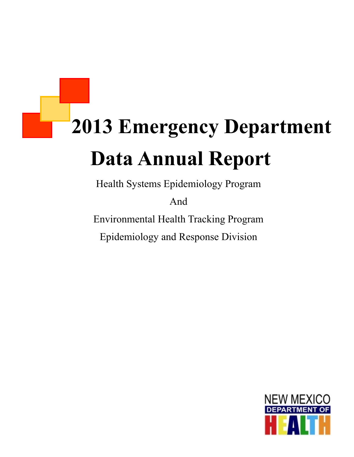# **2013 Emergency Department Data Annual Report**

Health Systems Epidemiology Program

And

Environmental Health Tracking Program Epidemiology and Response Division

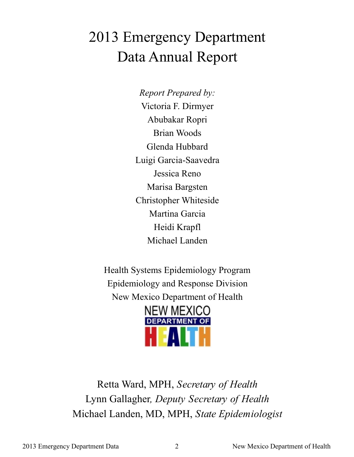# 2013 Emergency Department Data Annual Report

*Report Prepared by:* Victoria F. Dirmyer Abubakar Ropri Brian Woods Glenda Hubbard Luigi Garcia-Saavedra Jessica Reno Marisa Bargsten Christopher Whiteside Martina Garcia Heidi Krapfl Michael Landen

Health Systems Epidemiology Program Epidemiology and Response Division New Mexico Department of Health



Retta Ward, MPH, *Secretary of Health* Lynn Gallagher*, Deputy Secretary of Health* Michael Landen, MD, MPH, *State Epidemiologist*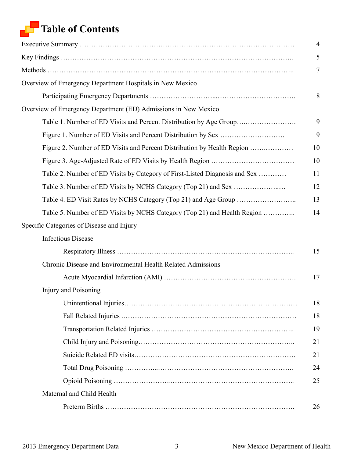### **Table of Contents**

|                                                                            | $\overline{4}$ |
|----------------------------------------------------------------------------|----------------|
|                                                                            | 5              |
|                                                                            | 7              |
| Overview of Emergency Department Hospitals in New Mexico                   |                |
|                                                                            | 8              |
| Overview of Emergency Department (ED) Admissions in New Mexico             |                |
| Table 1. Number of ED Visits and Percent Distribution by Age Group         | 9              |
|                                                                            | 9              |
| Figure 2. Number of ED Visits and Percent Distribution by Health Region    | 10             |
|                                                                            | 10             |
| Table 2. Number of ED Visits by Category of First-Listed Diagnosis and Sex | 11             |
|                                                                            | 12             |
|                                                                            | 13             |
| Table 5. Number of ED Visits by NCHS Category (Top 21) and Health Region   | 14             |
| Specific Categories of Disease and Injury                                  |                |
| <b>Infectious Disease</b>                                                  |                |
|                                                                            | 15             |
| Chronic Disease and Environmental Health Related Admissions                |                |
|                                                                            | 17             |
| Injury and Poisoning                                                       |                |
|                                                                            | 18             |
|                                                                            | 18             |
|                                                                            | 19             |
|                                                                            | 21             |
|                                                                            | 21             |
|                                                                            | 24             |
|                                                                            | 25             |
| Maternal and Child Health                                                  |                |
|                                                                            | 26             |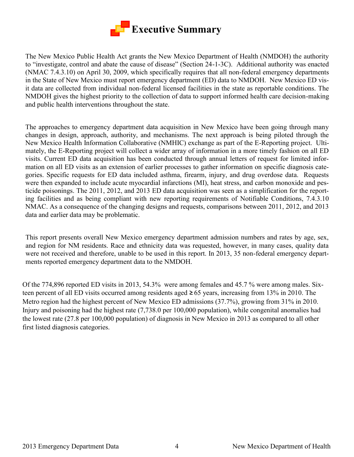

The New Mexico Public Health Act grants the New Mexico Department of Health (NMDOH) the authority to "investigate, control and abate the cause of disease" (Section 24-1-3C). Additional authority was enacted (NMAC 7.4.3.10) on April 30, 2009, which specifically requires that all non-federal emergency departments in the State of New Mexico must report emergency department (ED) data to NMDOH. New Mexico ED visit data are collected from individual non-federal licensed facilities in the state as reportable conditions. The NMDOH gives the highest priority to the collection of data to support informed health care decision-making and public health interventions throughout the state.

The approaches to emergency department data acquisition in New Mexico have been going through many changes in design, approach, authority, and mechanisms. The next approach is being piloted through the New Mexico Health Information Collaborative (NMHIC) exchange as part of the E-Reporting project. Ultimately, the E-Reporting project will collect a wider array of information in a more timely fashion on all ED visits. Current ED data acquisition has been conducted through annual letters of request for limited information on all ED visits as an extension of earlier processes to gather information on specific diagnosis categories. Specific requests for ED data included asthma, firearm, injury, and drug overdose data. Requests were then expanded to include acute myocardial infarctions (MI), heat stress, and carbon monoxide and pesticide poisonings. The 2011, 2012, and 2013 ED data acquisition was seen as a simplification for the reporting facilities and as being compliant with new reporting requirements of Notifiable Conditions, 7.4.3.10 NMAC. As a consequence of the changing designs and requests, comparisons between 2011, 2012, and 2013 data and earlier data may be problematic.

This report presents overall New Mexico emergency department admission numbers and rates by age, sex, and region for NM residents. Race and ethnicity data was requested, however, in many cases, quality data were not received and therefore, unable to be used in this report. In 2013, 35 non-federal emergency departments reported emergency department data to the NMDOH.

Of the 774,896 reported ED visits in 2013, 54.3% were among females and 45.7 % were among males. Sixteen percent of all ED visits occurred among residents aged **≥** 65 years, increasing from 13% in 2010. The Metro region had the highest percent of New Mexico ED admissions (37.7%), growing from 31% in 2010. Injury and poisoning had the highest rate (7,738.0 per 100,000 population), while congenital anomalies had the lowest rate (27.8 per 100,000 population) of diagnosis in New Mexico in 2013 as compared to all other first listed diagnosis categories.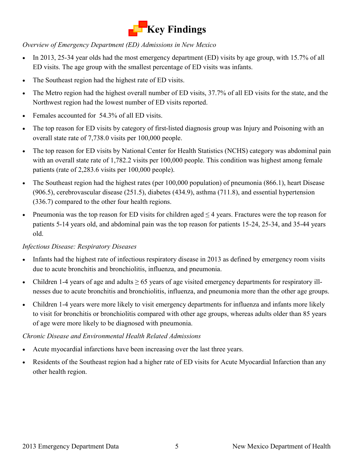

*Overview of Emergency Department (ED) Admissions in New Mexico* 

- In 2013, 25-34 year olds had the most emergency department (ED) visits by age group, with 15.7% of all ED visits. The age group with the smallest percentage of ED visits was infants.
- The Southeast region had the highest rate of ED visits.
- The Metro region had the highest overall number of ED visits, 37.7% of all ED visits for the state, and the Northwest region had the lowest number of ED visits reported.
- Females accounted for 54.3% of all ED visits.
- The top reason for ED visits by category of first-listed diagnosis group was Injury and Poisoning with an overall state rate of 7,738.0 visits per 100,000 people.
- The top reason for ED visits by National Center for Health Statistics (NCHS) category was abdominal pain with an overall state rate of 1,782.2 visits per 100,000 people. This condition was highest among female patients (rate of 2,283.6 visits per 100,000 people).
- The Southeast region had the highest rates (per 100,000 population) of pneumonia (866.1), heart Disease (906.5), cerebrovascular disease (251.5), diabetes (434.9), asthma (711.8), and essential hypertension (336.7) compared to the other four health regions.
- Pneumonia was the top reason for ED visits for children aged  $\leq$  4 years. Fractures were the top reason for patients 5-14 years old, and abdominal pain was the top reason for patients 15-24, 25-34, and 35-44 years old.

#### *Infectious Disease: Respiratory Diseases*

- Infants had the highest rate of infectious respiratory disease in 2013 as defined by emergency room visits due to acute bronchitis and bronchiolitis, influenza, and pneumonia.
- Children 1-4 years of age and adults  $\geq 65$  years of age visited emergency departments for respiratory illnesses due to acute bronchitis and bronchiolitis, influenza, and pneumonia more than the other age groups.
- Children 1-4 years were more likely to visit emergency departments for influenza and infants more likely to visit for bronchitis or bronchiolitis compared with other age groups, whereas adults older than 85 years of age were more likely to be diagnosed with pneumonia.

#### *Chronic Disease and Environmental Health Related Admissions*

- Acute myocardial infarctions have been increasing over the last three years.
- Residents of the Southeast region had a higher rate of ED visits for Acute Myocardial Infarction than any other health region.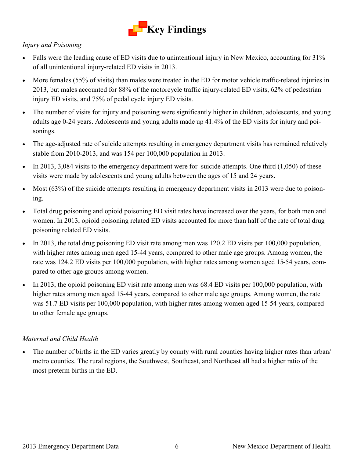

#### *Injury and Poisoning*

- Falls were the leading cause of ED visits due to unintentional injury in New Mexico, accounting for 31% of all unintentional injury-related ED visits in 2013.
- More females (55% of visits) than males were treated in the ED for motor vehicle traffic-related injuries in 2013, but males accounted for 88% of the motorcycle traffic injury-related ED visits, 62% of pedestrian injury ED visits, and 75% of pedal cycle injury ED visits.
- The number of visits for injury and poisoning were significantly higher in children, adolescents, and young adults age 0-24 years. Adolescents and young adults made up 41.4% of the ED visits for injury and poisonings.
- The age-adjusted rate of suicide attempts resulting in emergency department visits has remained relatively stable from 2010-2013, and was 154 per 100,000 population in 2013.
- In 2013, 3,084 visits to the emergency department were for suicide attempts. One third  $(1,050)$  of these visits were made by adolescents and young adults between the ages of 15 and 24 years.
- Most (63%) of the suicide attempts resulting in emergency department visits in 2013 were due to poisoning.
- Total drug poisoning and opioid poisoning ED visit rates have increased over the years, for both men and women. In 2013, opioid poisoning related ED visits accounted for more than half of the rate of total drug poisoning related ED visits.
- In 2013, the total drug poisoning ED visit rate among men was 120.2 ED visits per 100,000 population, with higher rates among men aged 15-44 years, compared to other male age groups. Among women, the rate was 124.2 ED visits per 100,000 population, with higher rates among women aged 15-54 years, compared to other age groups among women.
- In 2013, the opioid poisoning ED visit rate among men was 68.4 ED visits per 100,000 population, with higher rates among men aged 15-44 years, compared to other male age groups. Among women, the rate was 51.7 ED visits per 100,000 population, with higher rates among women aged 15-54 years, compared to other female age groups.

#### *Maternal and Child Health*

 The number of births in the ED varies greatly by county with rural counties having higher rates than urban/ metro counties. The rural regions, the Southwest, Southeast, and Northeast all had a higher ratio of the most preterm births in the ED.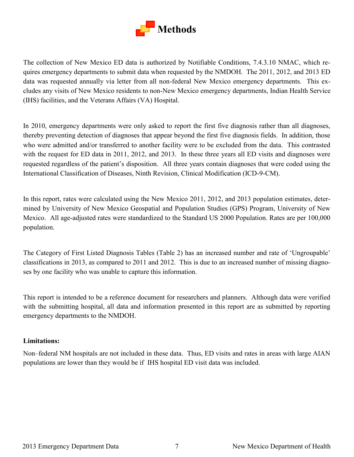

The collection of New Mexico ED data is authorized by Notifiable Conditions, 7.4.3.10 NMAC, which requires emergency departments to submit data when requested by the NMDOH. The 2011, 2012, and 2013 ED data was requested annually via letter from all non-federal New Mexico emergency departments. This excludes any visits of New Mexico residents to non-New Mexico emergency departments, Indian Health Service (IHS) facilities, and the Veterans Affairs (VA) Hospital.

In 2010, emergency departments were only asked to report the first five diagnosis rather than all diagnoses, thereby preventing detection of diagnoses that appear beyond the first five diagnosis fields. In addition, those who were admitted and/or transferred to another facility were to be excluded from the data. This contrasted with the request for ED data in 2011, 2012, and 2013. In these three years all ED visits and diagnoses were requested regardless of the patient's disposition. All three years contain diagnoses that were coded using the International Classification of Diseases, Ninth Revision, Clinical Modification (ICD-9-CM).

In this report, rates were calculated using the New Mexico 2011, 2012, and 2013 population estimates, determined by University of New Mexico Geospatial and Population Studies (GPS) Program, University of New Mexico. All age-adjusted rates were standardized to the Standard US 2000 Population. Rates are per 100,000 population.

The Category of First Listed Diagnosis Tables (Table 2) has an increased number and rate of 'Ungroupable' classifications in 2013, as compared to 2011 and 2012. This is due to an increased number of missing diagnoses by one facility who was unable to capture this information.

This report is intended to be a reference document for researchers and planners. Although data were verified with the submitting hospital, all data and information presented in this report are as submitted by reporting emergency departments to the NMDOH.

#### **Limitations:**

Non–federal NM hospitals are not included in these data. Thus, ED visits and rates in areas with large AIAN populations are lower than they would be if IHS hospital ED visit data was included.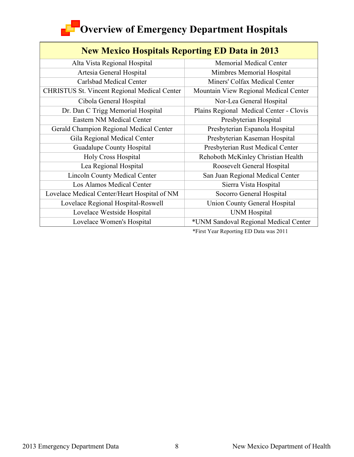# **Coverview of Emergency Department Hospitals**

| <b>New Mexico Hospitals Reporting ED Data in 2013</b> |                                         |  |  |  |  |
|-------------------------------------------------------|-----------------------------------------|--|--|--|--|
| Alta Vista Regional Hospital                          | <b>Memorial Medical Center</b>          |  |  |  |  |
| Artesia General Hospital                              | Mimbres Memorial Hospital               |  |  |  |  |
| Carlsbad Medical Center                               | Miners' Colfax Medical Center           |  |  |  |  |
| <b>CHRISTUS St. Vincent Regional Medical Center</b>   | Mountain View Regional Medical Center   |  |  |  |  |
| Cibola General Hospital                               | Nor-Lea General Hospital                |  |  |  |  |
| Dr. Dan C Trigg Memorial Hospital                     | Plains Regional Medical Center - Clovis |  |  |  |  |
| Eastern NM Medical Center                             | Presbyterian Hospital                   |  |  |  |  |
| Gerald Champion Regional Medical Center               | Presbyterian Espanola Hospital          |  |  |  |  |
| Gila Regional Medical Center                          | Presbyterian Kaseman Hospital           |  |  |  |  |
| Guadalupe County Hospital                             | Presbyterian Rust Medical Center        |  |  |  |  |
| <b>Holy Cross Hospital</b>                            | Rehoboth McKinley Christian Health      |  |  |  |  |
| Lea Regional Hospital                                 | Roosevelt General Hospital              |  |  |  |  |
| <b>Lincoln County Medical Center</b>                  | San Juan Regional Medical Center        |  |  |  |  |
| Los Alamos Medical Center                             | Sierra Vista Hospital                   |  |  |  |  |
| Lovelace Medical Center/Heart Hospital of NM          | Socorro General Hospital                |  |  |  |  |
| Lovelace Regional Hospital-Roswell                    | <b>Union County General Hospital</b>    |  |  |  |  |
| Lovelace Westside Hospital                            | <b>UNM</b> Hospital                     |  |  |  |  |
| Lovelace Women's Hospital                             | *UNM Sandoval Regional Medical Center   |  |  |  |  |

\*First Year Reporting ED Data was 2011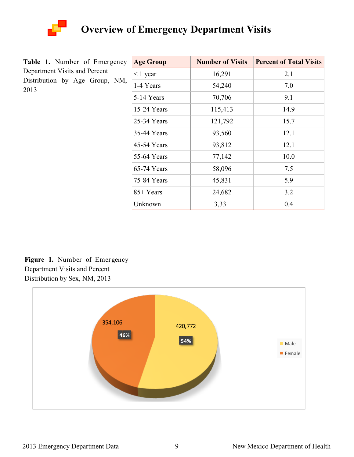

|                               |  | <b>Table 1.</b> Number of Emergency |  |
|-------------------------------|--|-------------------------------------|--|
| Department Visits and Percent |  |                                     |  |
|                               |  | Distribution by Age Group, NM,      |  |
| 2013                          |  |                                     |  |

| <b>Age Group</b> | <b>Number of Visits</b> | <b>Percent of Total Visits</b> |
|------------------|-------------------------|--------------------------------|
| $\leq 1$ year    | 16,291                  | 2.1                            |
| 1-4 Years        | 54,240                  | 7.0                            |
| 5-14 Years       | 70,706                  | 9.1                            |
| 15-24 Years      | 115,413                 | 14.9                           |
| 25-34 Years      | 121,792                 | 15.7                           |
| 35-44 Years      | 93,560                  | 12.1                           |
| 45-54 Years      | 93,812                  | 12.1                           |
| 55-64 Years      | 77,142                  | 10.0                           |
| 65-74 Years      | 58,096                  | 7.5                            |
| 75-84 Years      | 45,831                  | 5.9                            |
| 85+ Years        | 24,682                  | 3.2                            |
| Unknown          | 3,331                   | 0.4                            |

**Figure 1.** Number of Emergency Department Visits and Percent Distribution by Sex, NM, 2013

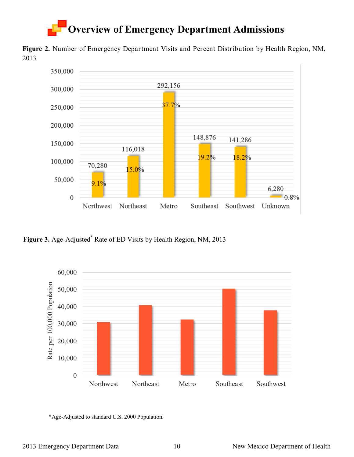**Figure 2.** Number of Emergency Department Visits and Percent Distribution by Health Region, NM, 2013



**Figure 3.** Age-Adjusted\* Rate of ED Visits by Health Region, NM, 2013



\*Age-Adjusted to standard U.S. 2000 Population.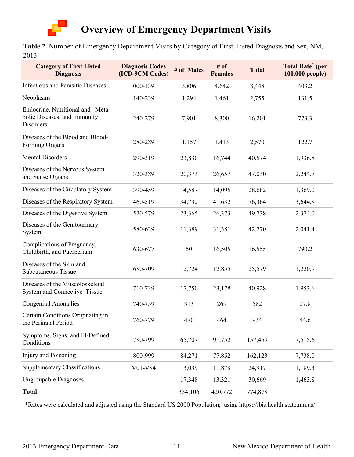

**Table 2.** Number of Emergency Department Visits by Category of First-Listed Diagnosis and Sex, NM, 2013

| <b>Category of First Listed</b><br><b>Diagnosis</b>                                  | <b>Diagnosis Codes</b><br>(ICD-9CM Codes) | # of Males | # of<br><b>Females</b> | <b>Total</b> | <b>Total Rate<sup>*</sup></b> (per<br>100,000 people) |
|--------------------------------------------------------------------------------------|-------------------------------------------|------------|------------------------|--------------|-------------------------------------------------------|
| <b>Infectious and Parasitic Diseases</b>                                             | 000-139                                   | 3,806      | 4,642                  | 8,448        | 403.2                                                 |
| Neoplasms                                                                            | 140-239                                   | 1,294      | 1,461                  | 2,755        | 131.5                                                 |
| Endocrine, Nutritional and Meta-<br>bolic Diseases, and Immunity<br><b>Disorders</b> | 240-279                                   | 7,901      | 8,300                  | 16,201       | 773.3                                                 |
| Diseases of the Blood and Blood-<br>Forming Organs                                   | 280-289                                   | 1,157      | 1,413                  | 2,570        | 122.7                                                 |
| <b>Mental Disorders</b>                                                              | 290-319                                   | 23,830     | 16,744                 | 40,574       | 1,936.8                                               |
| Diseases of the Nervous System<br>and Sense Organs                                   | 320-389                                   | 20,373     | 26,657                 | 47,030       | 2,244.7                                               |
| Diseases of the Circulatory System                                                   | 390-459                                   | 14,587     | 14,095                 | 28,682       | 1,369.0                                               |
| Diseases of the Respiratory System                                                   | 460-519                                   | 34,732     | 41,632                 | 76,364       | 3,644.8                                               |
| Diseases of the Digestive System                                                     | 520-579                                   | 23,365     | 26,373                 | 49,738       | 2,374.0                                               |
| Diseases of the Genitourinary<br>System                                              | 580-629                                   | 11,389     | 31,381                 | 42,770       | 2,041.4                                               |
| Complications of Pregnancy,<br>Childbirth, and Puerperium                            | 630-677                                   | 50         | 16,505                 | 16,555       | 790.2                                                 |
| Diseases of the Skin and<br><b>Subcutaneous Tissue</b>                               | 680-709                                   | 12,724     | 12,855                 | 25,579       | 1,220.9                                               |
| Diseases of the Muscoloskeletal<br>System and Connective Tissue                      | 710-739                                   | 17,750     | 23,178                 | 40,928       | 1,953.6                                               |
| <b>Congenital Anomalies</b>                                                          | 740-759                                   | 313        | 269                    | 582          | 27.8                                                  |
| Certain Conditions Originating in<br>the Perinatal Period                            | 760-779                                   | 470        | 464                    | 934          | 44.6                                                  |
| Symptoms, Signs, and Ill-Defined<br>Conditions                                       | 780-799                                   | 65,707     | 91,752                 | 157,459      | 7,515.6                                               |
| Injury and Poisoning                                                                 | 800-999                                   | 84,271     | 77,852                 | 162,123      | 7,738.0                                               |
| <b>Supplementary Classifications</b>                                                 | V01-V84                                   | 13,039     | 11,878                 | 24,917       | 1,189.3                                               |
| <b>Ungroupable Diagnoses</b>                                                         |                                           | 17,348     | 13,321                 | 30,669       | 1,463.8                                               |
| <b>Total</b>                                                                         |                                           | 354,106    | 420,772                | 774,878      |                                                       |

\*Rates were calculated and adjusted using the Standard US 2000 Population; using https://ibis.health.state.nm.us/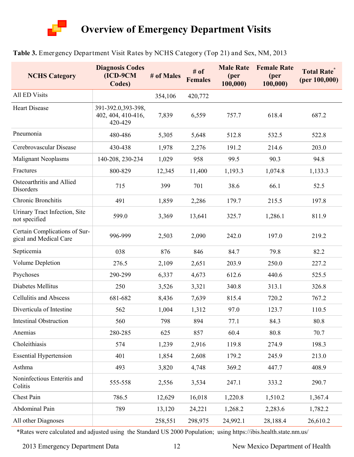

#### **Table 3.** Emergency Department Visit Rates by NCHS Category (Top 21) and Sex, NM, 2013

| <b>NCHS Category</b>                                    | <b>Diagnosis Codes</b><br>$(ICD-9CM)$<br>Codes)     | # of Males | # of<br><b>Females</b> | <b>Male Rate</b><br>(per<br>100,000) | <b>Female Rate</b><br>(per<br>100,000 | <b>Total Rate</b><br>(per 100,000) |
|---------------------------------------------------------|-----------------------------------------------------|------------|------------------------|--------------------------------------|---------------------------------------|------------------------------------|
| All ED Visits                                           |                                                     | 354,106    | 420,772                |                                      |                                       |                                    |
| <b>Heart Disease</b>                                    | 391-392.0,393-398,<br>402, 404, 410-416,<br>420-429 | 7,839      | 6,559                  | 757.7                                | 618.4                                 | 687.2                              |
| Pneumonia                                               | 480-486                                             | 5,305      | 5,648                  | 512.8                                | 532.5                                 | 522.8                              |
| Cerebrovascular Disease                                 | 430-438                                             | 1,978      | 2,276                  | 191.2                                | 214.6                                 | 203.0                              |
| <b>Malignant Neoplasms</b>                              | 140-208, 230-234                                    | 1,029      | 958                    | 99.5                                 | 90.3                                  | 94.8                               |
| Fractures                                               | 800-829                                             | 12,345     | 11,400                 | 1,193.3                              | 1,074.8                               | 1,133.3                            |
| Osteoarthritis and Allied<br>Disorders                  | 715                                                 | 399        | 701                    | 38.6                                 | 66.1                                  | 52.5                               |
| Chronic Bronchitis                                      | 491                                                 | 1,859      | 2,286                  | 179.7                                | 215.5                                 | 197.8                              |
| Urinary Tract Infection, Site<br>not specified          | 599.0                                               | 3,369      | 13,641                 | 325.7                                | 1,286.1                               | 811.9                              |
| Certain Complications of Sur-<br>gical and Medical Care | 996-999                                             | 2,503      | 2,090                  | 242.0                                | 197.0                                 | 219.2                              |
| Septicemia                                              | 038                                                 | 876        | 846                    | 84.7                                 | 79.8                                  | 82.2                               |
| Volume Depletion                                        | 276.5                                               | 2,109      | 2,651                  | 203.9                                | 250.0                                 | 227.2                              |
| Psychoses                                               | 290-299                                             | 6,337      | 4,673                  | 612.6                                | 440.6                                 | 525.5                              |
| Diabetes Mellitus                                       | 250                                                 | 3,526      | 3,321                  | 340.8                                | 313.1                                 | 326.8                              |
| <b>Cellulitis and Abscess</b>                           | 681-682                                             | 8,436      | 7,639                  | 815.4                                | 720.2                                 | 767.2                              |
| Diverticula of Intestine                                | 562                                                 | 1,004      | 1,312                  | 97.0                                 | 123.7                                 | 110.5                              |
| <b>Intestinal Obstruction</b>                           | 560                                                 | 798        | 894                    | 77.1                                 | 84.3                                  | 80.8                               |
| Anemias                                                 | 280-285                                             | 625        | 857                    | 60.4                                 | 80.8                                  | 70.7                               |
| Choleithiasis                                           | 574                                                 | 1,239      | 2,916                  | 119.8                                | 274.9                                 | 198.3                              |
| <b>Essential Hypertension</b>                           | 401                                                 | 1,854      | 2,608                  | 179.2                                | 245.9                                 | 213.0                              |
| Asthma                                                  | 493                                                 | 3,820      | 4,748                  | 369.2                                | 447.7                                 | 408.9                              |
| Noninfectious Enteritis and<br>Colitis                  | 555-558                                             | 2,556      | 3,534                  | 247.1                                | 333.2                                 | 290.7                              |
| Chest Pain                                              | 786.5                                               | 12,629     | 16,018                 | 1,220.8                              | 1,510.2                               | 1,367.4                            |
| Abdominal Pain                                          | 789                                                 | 13,120     | 24,221                 | 1,268.2                              | 2,283.6                               | 1,782.2                            |
| All other Diagnoses                                     |                                                     | 258,551    | 298,975                | 24,992.1                             | 28,188.4                              | 26,610.2                           |

\*Rates were calculated and adjusted using the Standard US 2000 Population; using https://ibis.health.state.nm.us/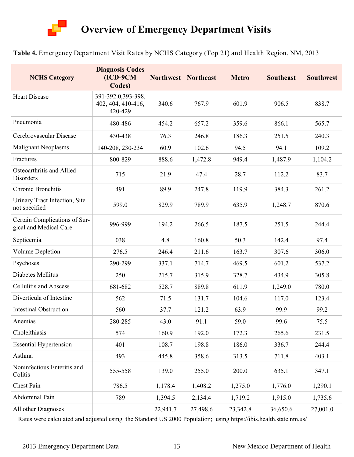

#### **Table 4.** Emergency Department Visit Rates by NCHS Category (Top 21) and Health Region, NM, 2013

| <b>NCHS Category</b>                                    | <b>Diagnosis Codes</b><br>$(ICD-9CM)$<br>Codes)     | Northwest Northeast |          | <b>Metro</b> | <b>Southeast</b> | <b>Southwest</b> |
|---------------------------------------------------------|-----------------------------------------------------|---------------------|----------|--------------|------------------|------------------|
| <b>Heart Disease</b>                                    | 391-392.0,393-398,<br>402, 404, 410-416,<br>420-429 | 340.6               | 767.9    | 601.9        | 906.5            | 838.7            |
| Pneumonia                                               | 480-486                                             | 454.2               | 657.2    | 359.6        | 866.1            | 565.7            |
| Cerebrovascular Disease                                 | 430-438                                             | 76.3                | 246.8    | 186.3        | 251.5            | 240.3            |
| <b>Malignant Neoplasms</b>                              | 140-208, 230-234                                    | 60.9                | 102.6    | 94.5         | 94.1             | 109.2            |
| Fractures                                               | 800-829                                             | 888.6               | 1,472.8  | 949.4        | 1,487.9          | 1,104.2          |
| Osteoarthritis and Allied<br>Disorders                  | 715                                                 | 21.9                | 47.4     | 28.7         | 112.2            | 83.7             |
| Chronic Bronchitis                                      | 491                                                 | 89.9                | 247.8    | 119.9        | 384.3            | 261.2            |
| Urinary Tract Infection, Site<br>not specified          | 599.0                                               | 829.9               | 789.9    | 635.9        | 1,248.7          | 870.6            |
| Certain Complications of Sur-<br>gical and Medical Care | 996-999                                             | 194.2               | 266.5    | 187.5        | 251.5            | 244.4            |
| Septicemia                                              | 038                                                 | 4.8                 | 160.8    | 50.3         | 142.4            | 97.4             |
| Volume Depletion                                        | 276.5                                               | 246.4               | 211.6    | 163.7        | 307.6            | 306.0            |
| Psychoses                                               | 290-299                                             | 337.1               | 714.7    | 469.5        | 601.2            | 537.2            |
| Diabetes Mellitus                                       | 250                                                 | 215.7               | 315.9    | 328.7        | 434.9            | 305.8            |
| <b>Cellulitis and Abscess</b>                           | 681-682                                             | 528.7               | 889.8    | 611.9        | 1,249.0          | 780.0            |
| Diverticula of Intestine                                | 562                                                 | 71.5                | 131.7    | 104.6        | 117.0            | 123.4            |
| <b>Intestinal Obstruction</b>                           | 560                                                 | 37.7                | 121.2    | 63.9         | 99.9             | 99.2             |
| Anemias                                                 | 280-285                                             | 43.0                | 91.1     | 59.0         | 99.6             | 75.5             |
| Choleithiasis                                           | 574                                                 | 160.9               | 192.0    | 172.3        | 265.6            | 231.5            |
| <b>Essential Hypertension</b>                           | 401                                                 | 108.7               | 198.8    | 186.0        | 336.7            | 244.4            |
| Asthma                                                  | 493                                                 | 445.8               | 358.6    | 313.5        | 711.8            | 403.1            |
| Noninfectious Enteritis and<br>Colitis                  | 555-558                                             | 139.0               | 255.0    | 200.0        | 635.1            | 347.1            |
| Chest Pain                                              | 786.5                                               | 1,178.4             | 1,408.2  | 1,275.0      | 1,776.0          | 1,290.1          |
| Abdominal Pain                                          | 789                                                 | 1,394.5             | 2,134.4  | 1,719.2      | 1,915.0          | 1,735.6          |
| All other Diagnoses                                     |                                                     | 22,941.7            | 27,498.6 | 23,342.8     | 36,650.6         | 27,001.0         |

Rates were calculated and adjusted using the Standard US 2000 Population; using https://ibis.health.state.nm.us/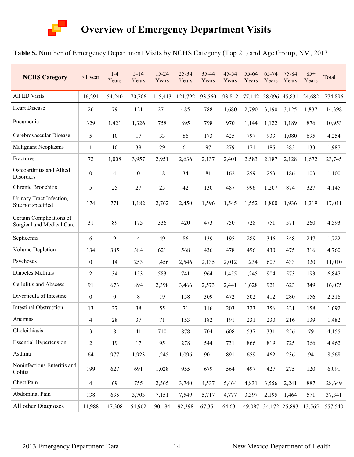

#### **Table 5.** Number of Emergency Department Visits by NCHS Category (Top 21) and Age Group, NM, 2013

| <b>NCHS Category</b>                                  | $<$ 1 year               | $1 - 4$<br>Years | $5 - 14$<br>Years | 15-24<br>Years | 25-34<br>Years | 35-44<br>Years | $45 - 54$<br>Years | 55-64<br>Years | 65-74<br>Years | 75-84<br>Years              | $85+$<br>Years | Total   |
|-------------------------------------------------------|--------------------------|------------------|-------------------|----------------|----------------|----------------|--------------------|----------------|----------------|-----------------------------|----------------|---------|
| <b>All ED Visits</b>                                  | 16,291                   | 54,240           | 70,706            | 115,413        | 121,792        | 93,560         | 93,812             | 77,142         |                | 58,096 45,831               | 24,682         | 774,896 |
| <b>Heart Disease</b>                                  | 26                       | 79               | 121               | 271            | 485            | 788            | 1,680              | 2,790          | 3,190          | 3,125                       | 1,837          | 14,398  |
| Pneumonia                                             | 329                      | 1,421            | 1,326             | 758            | 895            | 798            | 970                | 1,144          | 1,122          | 1,189                       | 876            | 10,953  |
| Cerebrovascular Disease                               | 5                        | 10               | 17                | 33             | 86             | 173            | 425                | 797            | 933            | 1,080                       | 695            | 4,254   |
| <b>Malignant Neoplasms</b>                            | 1                        | 10               | 38                | 29             | 61             | 97             | 279                | 471            | 485            | 383                         | 133            | 1,987   |
| Fractures                                             | 72                       | 1,008            | 3,957             | 2,951          | 2,636          | 2,137          | 2,401              | 2,583          | 2,187          | 2,128                       | 1,672          | 23,745  |
| Osteoarthritis and Allied<br>Disorders                | $\boldsymbol{0}$         | $\overline{4}$   | $\boldsymbol{0}$  | 18             | 34             | 81             | 162                | 259            | 253            | 186                         | 103            | 1,100   |
| Chronic Bronchitis                                    | 5                        | 25               | 27                | 25             | 42             | 130            | 487                | 996            | 1,207          | 874                         | 327            | 4,145   |
| Urinary Tract Infection,<br>Site not specified        | 174                      | 771              | 1,182             | 2,762          | 2,450          | 1,596          | 1,545              | 1,552          | 1,800          | 1,936                       | 1,219          | 17,011  |
| Certain Complications of<br>Surgical and Medical Care | 31                       | 89               | 175               | 336            | 420            | 473            | 750                | 728            | 751            | 571                         | 260            | 4,593   |
| Septicemia                                            | 6                        | 9                | 4                 | 49             | 86             | 139            | 195                | 289            | 346            | 348                         | 247            | 1,722   |
| Volume Depletion                                      | 134                      | 385              | 384               | 621            | 568            | 436            | 478                | 496            | 430            | 475                         | 316            | 4,760   |
| Psychoses                                             | $\boldsymbol{0}$         | 14               | 253               | 1,456          | 2,546          | 2,135          | 2,012              | 1,234          | 607            | 433                         | 320            | 11,010  |
| Diabetes Mellitus                                     | $\overline{2}$           | 34               | 153               | 583            | 741            | 964            | 1,455              | 1,245          | 904            | 573                         | 193            | 6,847   |
| <b>Cellulitis and Abscess</b>                         | 91                       | 673              | 894               | 2,398          | 3,466          | 2,573          | 2,441              | 1,628          | 921            | 623                         | 349            | 16,075  |
| Diverticula of Intestine                              | $\boldsymbol{0}$         | $\boldsymbol{0}$ | $8\,$             | 19             | 158            | 309            | 472                | 502            | 412            | 280                         | 156            | 2,316   |
| <b>Intestinal Obstruction</b>                         | 13                       | 37               | 38                | 55             | 71             | 116            | 203                | 323            | 356            | 321                         | 158            | 1,692   |
| Anemias                                               | 4                        | 28               | 37                | 71             | 153            | 182            | 191                | 231            | 230            | 216                         | 139            | 1,482   |
| Choleithiasis                                         | 3                        | 8                | 41                | 710            | 878            | 704            | 608                | 537            | 331            | 256                         | 79             | 4,155   |
| <b>Essential Hypertension</b>                         | $\overline{c}$           | 19               | 17                | 95             | 278            | 544            | 731                | 866            | 819            | 725                         | 366            | 4,462   |
| Asthma                                                | 64                       | 977              | 1,923             | 1,245          | 1,096          | 901            | 891                | 659            | 462            | 236                         | 94             | 8,568   |
| Noninfectious Enteritis and<br>Colitis                | 199                      | 627              | 691               | 1,028          | 955            | 679            | 564                | 497            | 427            | 275                         | 120            | 6,091   |
| Chest Pain                                            | $\overline{\mathcal{A}}$ | 69               | 755               | 2,565          | 3,740          | 4,537          | 5,464              | 4,831          | 3,556          | 2,241                       | 887            | 28,649  |
| Abdominal Pain                                        | 138                      | 635              | 3,703             | 7,151          | 7,549          | 5,717          | 4,777              | 3,397          | 2,195          | 1,464                       | 571            | 37,341  |
| All other Diagnoses                                   | 14,988                   | 47,308           | 54,962            | 90,184         | 92,398         | 67,351         | 64,631             |                |                | 49,087 34,172 25,893 13,565 |                | 557,540 |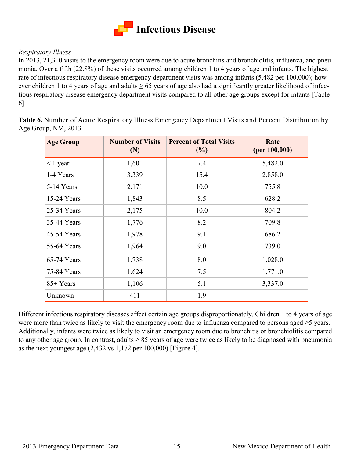

#### *Respiratory Illness*

In 2013, 21,310 visits to the emergency room were due to acute bronchitis and bronchiolitis, influenza, and pneumonia. Over a fifth (22.8%) of these visits occurred among children 1 to 4 years of age and infants. The highest rate of infectious respiratory disease emergency department visits was among infants (5,482 per 100,000); however children 1 to 4 years of age and adults  $\geq 65$  years of age also had a significantly greater likelihood of infectious respiratory disease emergency department visits compared to all other age groups except for infants [Table 6].

**Table 6.** Number of Acute Respiratory Illness Emergency Department Visits and Percent Distribution by Age Group, NM, 2013

| <b>Age Group</b> | <b>Number of Visits</b><br>(N) | <b>Percent of Total Visits</b><br>$(\%)$ | Rate<br>(per 100,000) |
|------------------|--------------------------------|------------------------------------------|-----------------------|
| $\leq 1$ year    | 1,601                          | 7.4                                      | 5,482.0               |
| 1-4 Years        | 3,339                          | 15.4                                     | 2,858.0               |
| 5-14 Years       | 2,171                          | 10.0                                     | 755.8                 |
| 15-24 Years      | 1,843                          | 8.5                                      | 628.2                 |
| 25-34 Years      | 2,175                          | 10.0                                     | 804.2                 |
| 35-44 Years      | 1,776                          | 8.2                                      | 709.8                 |
| 45-54 Years      | 1,978                          | 9.1                                      | 686.2                 |
| 55-64 Years      | 1,964                          | 9.0                                      | 739.0                 |
| 65-74 Years      | 1,738                          | 8.0                                      | 1,028.0               |
| 75-84 Years      | 1,624                          | 7.5                                      | 1,771.0               |
| 85+ Years        | 1,106                          | 5.1                                      | 3,337.0               |
| Unknown          | 411                            | 1.9                                      |                       |

Different infectious respiratory diseases affect certain age groups disproportionately. Children 1 to 4 years of age were more than twice as likely to visit the emergency room due to influenza compared to persons aged ≥5 years. Additionally, infants were twice as likely to visit an emergency room due to bronchitis or bronchiolitis compared to any other age group. In contrast, adults  $\geq 85$  years of age were twice as likely to be diagnosed with pneumonia as the next youngest age (2,432 vs 1,172 per 100,000) [Figure 4].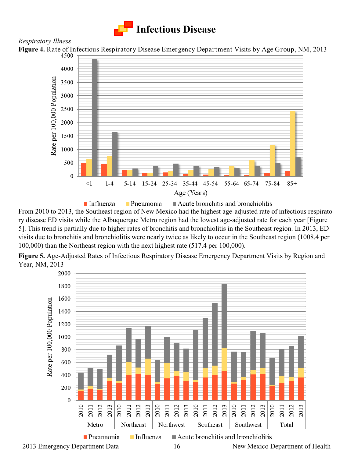

#### *Respiratory Illness*

**Figure 4.** Rate of Infectious Respiratory Disease Emergency Department Visits by Age Group, NM, 2013



From 2010 to 2013, the Southeast region of New Mexico had the highest age-adjusted rate of infectious respiratory disease ED visits while the Albuquerque Metro region had the lowest age-adjusted rate for each year [Figure 5]. This trend is partially due to higher rates of bronchitis and bronchiolitis in the Southeast region. In 2013, ED visits due to bronchitis and bronchiolitis were nearly twice as likely to occur in the Southeast region (1008.4 per 100,000) than the Northeast region with the next highest rate (517.4 per 100,000).

**Figure 5.** Age-Adjusted Rates of Infectious Respiratory Disease Emergency Department Visits by Region and Year, NM, 2013

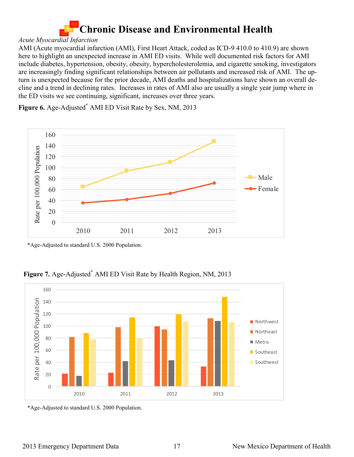# **Chronic Disease and Environmental Health**

#### *Acute Myocardial Infarction*

AMI (Acute myocardial infarction (AMI), First Heart Attack, coded as ICD-9 410.0 to 410.9) are shown here to highlight an unexpected increase in AMI ED visits. While well documented risk factors for AMI include diabetes, hypertension, obesity, obesity, hypercholesterolemia, and cigarette smoking, investigators are increasingly finding significant relationships between air pollutants and increased risk of AMI. The upturn is unexpected because for the prior decade, AMI deaths and hospitalizations have shown an overall decline and a trend in declining rates. Increases in rates of AMI also are usually a single year jump where in the ED visits we see continuing, significant, increases over three years.

Figure 6. Age-Adjusted<sup>\*</sup> AMI ED Visit Rate by Sex, NM, 2013



\*Age-Adjusted to standard U.S. 2000 Population.

**Figure 7.** Age-Adjusted\* AMI ED Visit Rate by Health Region, NM, 2013



\*Age-Adjusted to standard U.S. 2000 Population.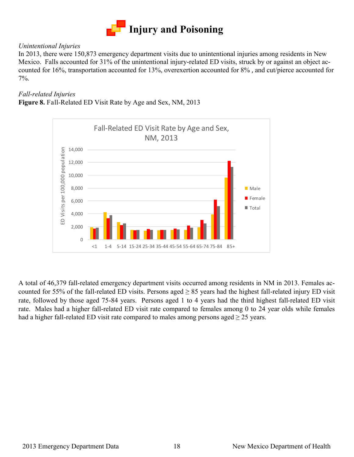

#### *Unintentional Injuries*

In 2013, there were 150,873 emergency department visits due to unintentional injuries among residents in New Mexico. Falls accounted for 31% of the unintentional injury-related ED visits, struck by or against an object accounted for 16%, transportation accounted for 13%, overexertion accounted for 8% , and cut/pierce accounted for 7%.

#### *Fall-related Injuries*

**Figure 8.** Fall-Related ED Visit Rate by Age and Sex, NM, 2013



A total of 46,379 fall-related emergency department visits occurred among residents in NM in 2013. Females accounted for 55% of the fall-related ED visits. Persons aged  $\geq$  85 years had the highest fall-related injury ED visit rate, followed by those aged 75-84 years. Persons aged 1 to 4 years had the third highest fall-related ED visit rate. Males had a higher fall-related ED visit rate compared to females among 0 to 24 year olds while females had a higher fall-related ED visit rate compared to males among persons aged  $\geq$  25 years.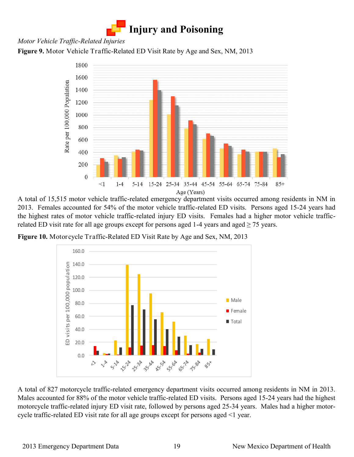

#### *Motor Vehicle Traffic-Related Injuries*

**Figure 9.** Motor Vehicle Traffic-Related ED Visit Rate by Age and Sex, NM, 2013



A total of 15,515 motor vehicle traffic-related emergency department visits occurred among residents in NM in 2013. Females accounted for 54% of the motor vehicle traffic-related ED visits. Persons aged 15-24 years had the highest rates of motor vehicle traffic-related injury ED visits. Females had a higher motor vehicle trafficrelated ED visit rate for all age groups except for persons aged 1-4 years and aged  $\geq$  75 years.





A total of 827 motorcycle traffic-related emergency department visits occurred among residents in NM in 2013. Males accounted for 88% of the motor vehicle traffic-related ED visits. Persons aged 15-24 years had the highest motorcycle traffic-related injury ED visit rate, followed by persons aged 25-34 years. Males had a higher motorcycle traffic-related ED visit rate for all age groups except for persons aged <1 year.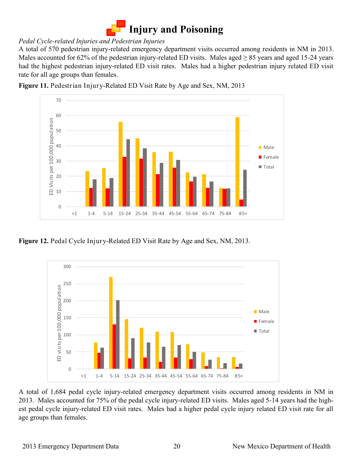

#### *Pedal Cycle-related Injuries and Pedestrian Injuries*

A total of 570 pedestrian injury-related emergency department visits occurred among residents in NM in 2013. Males accounted for 62% of the pedestrian injury-related ED visits. Males aged  $\geq 85$  years and aged 15-24 years had the highest pedestrian injury-related ED visit rates. Males had a higher pedestrian injury related ED visit rate for all age groups than females.

**Figure 11.** Pedestrian Injury-Related ED Visit Rate by Age and Sex, NM, 2013



**Figure 12.** Pedal Cycle Injury-Related ED Visit Rate by Age and Sex, NM, 2013.



A total of 1,684 pedal cycle injury-related emergency department visits occurred among residents in NM in 2013. Males accounted for 75% of the pedal cycle injury-related ED visits. Males aged 5-14 years had the highest pedal cycle injury-related ED visit rates. Males had a higher pedal cycle injury related ED visit rate for all age groups than females.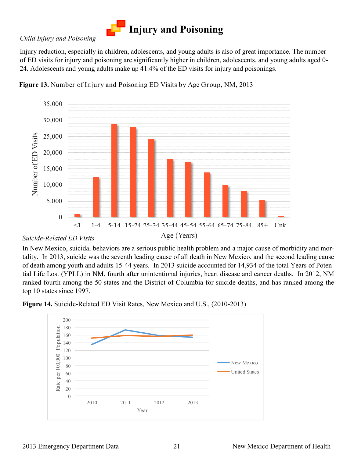

#### *Child Injury and Poisoning*

Injury reduction, especially in children, adolescents, and young adults is also of great importance. The number of ED visits for injury and poisoning are significantly higher in children, adolescents, and young adults aged 0- 24. Adolescents and young adults make up 41.4% of the ED visits for injury and poisonings.





#### *Suicide-Related ED Visits*

In New Mexico, suicidal behaviors are a serious public health problem and a major cause of morbidity and mortality. In 2013, suicide was the seventh leading cause of all death in New Mexico, and the second leading cause of death among youth and adults 15-44 years. In 2013 suicide accounted for 14,934 of the total Years of Potential Life Lost (YPLL) in NM, fourth after unintentional injuries, heart disease and cancer deaths. In 2012, NM ranked fourth among the 50 states and the District of Columbia for suicide deaths, and has ranked among the top 10 states since 1997.



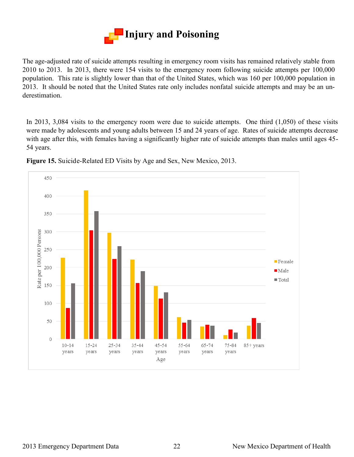

The age-adjusted rate of suicide attempts resulting in emergency room visits has remained relatively stable from 2010 to 2013. In 2013, there were 154 visits to the emergency room following suicide attempts per 100,000 population. This rate is slightly lower than that of the United States, which was 160 per 100,000 population in 2013. It should be noted that the United States rate only includes nonfatal suicide attempts and may be an underestimation.

In 2013, 3,084 visits to the emergency room were due to suicide attempts. One third (1,050) of these visits were made by adolescents and young adults between 15 and 24 years of age. Rates of suicide attempts decrease with age after this, with females having a significantly higher rate of suicide attempts than males until ages 45-54 years.



**Figure 15.** Suicide-Related ED Visits by Age and Sex, New Mexico, 2013.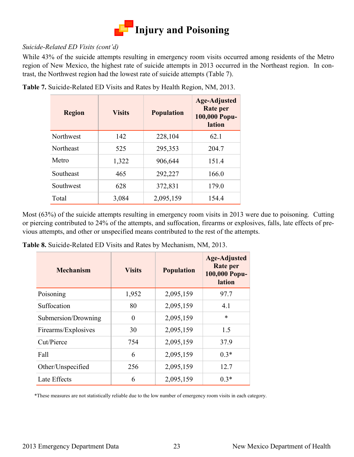

#### *Suicide-Related ED Visits (cont'd)*

While 43% of the suicide attempts resulting in emergency room visits occurred among residents of the Metro region of New Mexico, the highest rate of suicide attempts in 2013 occurred in the Northeast region. In contrast, the Northwest region had the lowest rate of suicide attempts (Table 7).

| <b>Region</b> | <b>Visits</b> | <b>Population</b> | <b>Age-Adjusted</b><br>Rate per<br>100,000 Popu-<br>lation |
|---------------|---------------|-------------------|------------------------------------------------------------|
| Northwest     | 142           | 228,104           | 62.1                                                       |
| Northeast     | 525           | 295,353           | 204.7                                                      |
| Metro         | 1,322         | 906,644           | 151.4                                                      |
| Southeast     | 465           | 292,227           | 166.0                                                      |
| Southwest     | 628           | 372,831           | 179.0                                                      |
| Total         | 3,084         | 2,095,159         | 154.4                                                      |

**Table 7.** Suicide-Related ED Visits and Rates by Health Region, NM, 2013.

Most (63%) of the suicide attempts resulting in emergency room visits in 2013 were due to poisoning. Cutting or piercing contributed to 24% of the attempts, and suffocation, firearms or explosives, falls, late effects of previous attempts, and other or unspecified means contributed to the rest of the attempts.

**Table 8.** Suicide-Related ED Visits and Rates by Mechanism, NM, 2013.

| <b>Mechanism</b>    | <b>Visits</b> | <b>Population</b> | <b>Age-Adjusted</b><br><b>Rate per</b><br>100,000 Popu-<br>lation |
|---------------------|---------------|-------------------|-------------------------------------------------------------------|
| Poisoning           | 1,952         | 2,095,159         | 97.7                                                              |
| Suffocation         | 80            | 2,095,159         | 4.1                                                               |
| Submersion/Drowning | $\theta$      | 2,095,159         | $\ast$                                                            |
| Firearms/Explosives | 30            | 2,095,159         | 1.5                                                               |
| Cut/Pierce          | 754           | 2,095,159         | 37.9                                                              |
| Fall                | 6             | 2,095,159         | $0.3*$                                                            |
| Other/Unspecified   | 256           | 2,095,159         | 12.7                                                              |
| Late Effects        | 6             | 2,095,159         | $0.3*$                                                            |

\*These measures are not statistically reliable due to the low number of emergency room visits in each category.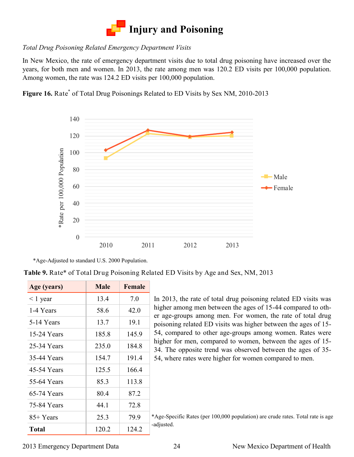

#### *Total Drug Poisoning Related Emergency Department Visits*

In New Mexico, the rate of emergency department visits due to total drug poisoning have increased over the years, for both men and women. In 2013, the rate among men was 120.2 ED visits per 100,000 population. Among women, the rate was 124.2 ED visits per 100,000 population.

Figure 16. Rate<sup>\*</sup> of Total Drug Poisonings Related to ED Visits by Sex NM, 2010-2013



<sup>\*</sup>Age-Adjusted to standard U.S. 2000 Population.

**Table 9.** Rate\* of Total Drug Poisoning Related ED Visits by Age and Sex, NM, 2013

| Age (years)   | <b>Male</b> | <b>Female</b> |
|---------------|-------------|---------------|
| $\leq$ 1 year | 13.4        | 7.0           |
| 1-4 Years     | 58.6        | 42.0          |
| 5-14 Years    | 13.7        | 19.1          |
| 15-24 Years   | 185.8       | 145.9         |
| 25-34 Years   | 235.0       | 1848          |
| 35-44 Years   | 154.7       | 191.4         |
| 45-54 Years   | 125.5       | 1664          |
| 55-64 Years   | 85.3        | 113.8         |
| 65-74 Years   | 80.4        | 87.2          |
| 75-84 Years   | 44.1        | 72.8          |
| 85+ Years     | 25.3        | 79.9          |
| <b>Total</b>  | 120.2       | 124.2         |

In 2013, the rate of total drug poisoning related ED visits was higher among men between the ages of 15-44 compared to other age-groups among men. For women, the rate of total drug poisoning related ED visits was higher between the ages of 15- 54, compared to other age-groups among women. Rates were higher for men, compared to women, between the ages of 15- 34. The opposite trend was observed between the ages of 35- 54, where rates were higher for women compared to men.

\*Age-Specific Rates (per 100,000 population) are crude rates. Total rate is age -adjusted.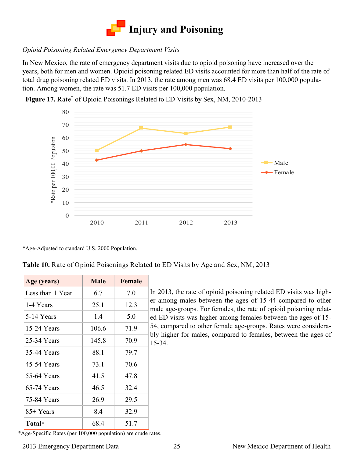

#### *Opioid Poisoning Related Emergency Department Visits*

In New Mexico, the rate of emergency department visits due to opioid poisoning have increased over the years, both for men and women. Opioid poisoning related ED visits accounted for more than half of the rate of total drug poisoning related ED visits. In 2013, the rate among men was 68.4 ED visits per 100,000 population. Among women, the rate was 51.7 ED visits per 100,000 population.



Figure 17. Rate<sup>\*</sup> of Opioid Poisonings Related to ED Visits by Sex, NM, 2010-2013

\*Age-Adjusted to standard U.S. 2000 Population.

**Table 10.** Rate of Opioid Poisonings Related to ED Visits by Age and Sex, NM, 2013

| Age (years)      | <b>Male</b> | Female |
|------------------|-------------|--------|
| Less than 1 Year | 6.7         | 7.0    |
| 1-4 Years        | 25.1        | 12.3   |
| 5-14 Years       | 1.4         | 5.0    |
| 15-24 Years      | 106.6       | 71.9   |
| 25-34 Years      | 145.8       | 70.9   |
| 35-44 Years      | 88.1        | 79.7   |
| 45-54 Years      | 73.1        | 70.6   |
| 55-64 Years      | 41.5        | 47.8   |
| 65-74 Years      | 46.5        | 32.4   |
| 75-84 Years      | 26.9        | 29.5   |
| 85+ Years        | 8.4         | 32.9   |
| Total*           | 68.4        | 51.7   |

In 2013, the rate of opioid poisoning related ED visits was higher among males between the ages of 15-44 compared to other male age-groups. For females, the rate of opioid poisoning related ED visits was higher among females between the ages of 15- 54, compared to other female age-groups. Rates were considerably higher for males, compared to females, between the ages of 15-34.

\*Age-Specific Rates (per 100,000 population) are crude rates.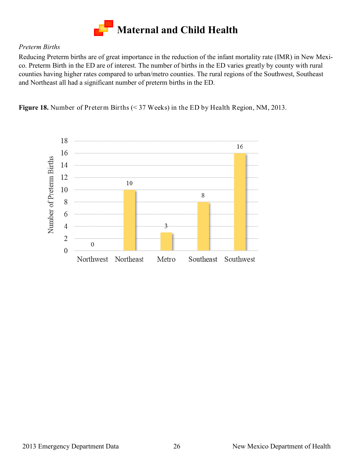

#### *Preterm Births*

Reducing Preterm births are of great importance in the reduction of the infant mortality rate (IMR) in New Mexico. Preterm Birth in the ED are of interest. The number of births in the ED varies greatly by county with rural counties having higher rates compared to urban/metro counties. The rural regions of the Southwest, Southeast and Northeast all had a significant number of preterm births in the ED.

**Figure 18.** Number of Preterm Births (< 37 Weeks) in the ED by Health Region, NM, 2013.